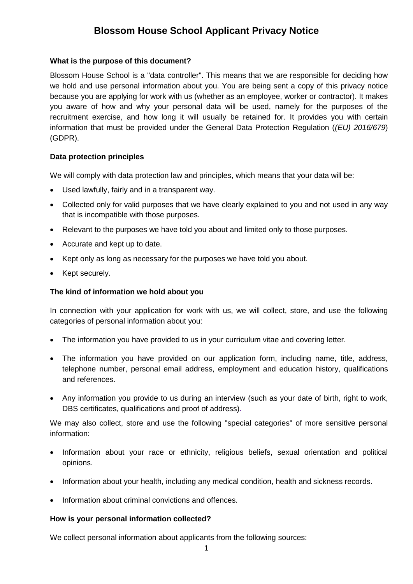# **Blossom House School Applicant Privacy Notice**

### **What is the purpose of this document?**

Blossom House School is a "data controller". This means that we are responsible for deciding how we hold and use personal information about you. You are being sent a copy of this privacy notice because you are applying for work with us (whether as an employee, worker or contractor). It makes you aware of how and why your personal data will be used, namely for the purposes of the recruitment exercise, and how long it will usually be retained for. It provides you with certain information that must be provided under the General Data Protection Regulation (*(EU) 2016/679*) (GDPR).

# **Data protection principles**

We will comply with data protection law and principles, which means that your data will be:

- Used lawfully, fairly and in a transparent way.
- Collected only for valid purposes that we have clearly explained to you and not used in any way that is incompatible with those purposes.
- Relevant to the purposes we have told you about and limited only to those purposes.
- Accurate and kept up to date.
- Kept only as long as necessary for the purposes we have told you about.
- Kept securely.

# **The kind of information we hold about you**

In connection with your application for work with us, we will collect, store, and use the following categories of personal information about you:

- The information you have provided to us in your curriculum vitae and covering letter.
- The information you have provided on our application form, including name, title, address, telephone number, personal email address, employment and education history, qualifications and references.
- Any information you provide to us during an interview (such as your date of birth, right to work, DBS certificates, qualifications and proof of address)*.*

We may also collect, store and use the following "special categories" of more sensitive personal information:

- Information about your race or ethnicity, religious beliefs, sexual orientation and political opinions.
- Information about your health, including any medical condition, health and sickness records.
- Information about criminal convictions and offences.

#### **How is your personal information collected?**

We collect personal information about applicants from the following sources: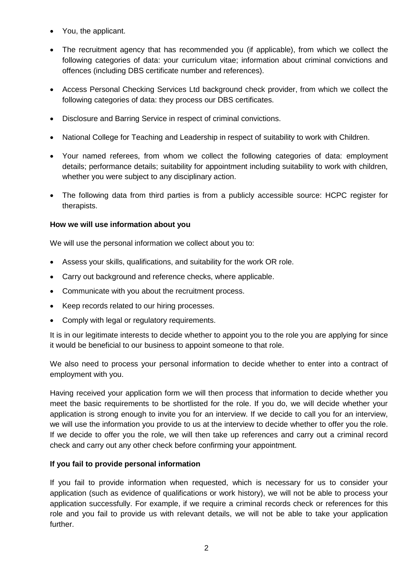- You, the applicant.
- The recruitment agency that has recommended you (if applicable), from which we collect the following categories of data: your curriculum vitae; information about criminal convictions and offences (including DBS certificate number and references).
- Access Personal Checking Services Ltd background check provider, from which we collect the following categories of data: they process our DBS certificates.
- Disclosure and Barring Service in respect of criminal convictions.
- National College for Teaching and Leadership in respect of suitability to work with Children.
- Your named referees, from whom we collect the following categories of data: employment details; performance details; suitability for appointment including suitability to work with children, whether you were subject to any disciplinary action.
- The following data from third parties is from a publicly accessible source: HCPC register for therapists.

# **How we will use information about you**

We will use the personal information we collect about you to:

- Assess your skills, qualifications, and suitability for the work OR role.
- Carry out background and reference checks, where applicable.
- Communicate with you about the recruitment process.
- Keep records related to our hiring processes.
- Comply with legal or regulatory requirements.

It is in our legitimate interests to decide whether to appoint you to the role you are applying for since it would be beneficial to our business to appoint someone to that role.

We also need to process your personal information to decide whether to enter into a contract of employment with you.

Having received your application form we will then process that information to decide whether you meet the basic requirements to be shortlisted for the role. If you do, we will decide whether your application is strong enough to invite you for an interview. If we decide to call you for an interview, we will use the information you provide to us at the interview to decide whether to offer you the role. If we decide to offer you the role, we will then take up references and carry out a criminal record check and carry out any other check before confirming your appointment.

# **If you fail to provide personal information**

If you fail to provide information when requested, which is necessary for us to consider your application (such as evidence of qualifications or work history), we will not be able to process your application successfully. For example, if we require a criminal records check or references for this role and you fail to provide us with relevant details, we will not be able to take your application further.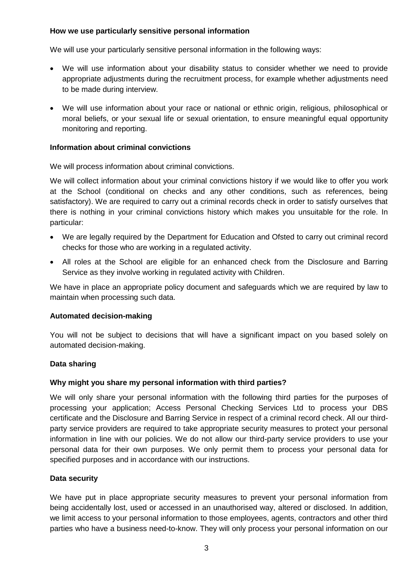# **How we use particularly sensitive personal information**

We will use your particularly sensitive personal information in the following ways:

- We will use information about your disability status to consider whether we need to provide appropriate adjustments during the recruitment process, for example whether adjustments need to be made during interview.
- We will use information about your race or national or ethnic origin, religious, philosophical or moral beliefs, or your sexual life or sexual orientation, to ensure meaningful equal opportunity monitoring and reporting.

# **Information about criminal convictions**

We will process information about criminal convictions.

We will collect information about your criminal convictions history if we would like to offer you work at the School (conditional on checks and any other conditions, such as references, being satisfactory). We are required to carry out a criminal records check in order to satisfy ourselves that there is nothing in your criminal convictions history which makes you unsuitable for the role. In particular:

- We are legally required by the Department for Education and Ofsted to carry out criminal record checks for those who are working in a regulated activity.
- All roles at the School are eligible for an enhanced check from the Disclosure and Barring Service as they involve working in regulated activity with Children.

We have in place an appropriate policy document and safeguards which we are required by law to maintain when processing such data.

#### **Automated decision-making**

You will not be subject to decisions that will have a significant impact on you based solely on automated decision-making.

#### **Data sharing**

# **Why might you share my personal information with third parties?**

We will only share your personal information with the following third parties for the purposes of processing your application; Access Personal Checking Services Ltd to process your DBS certificate and the Disclosure and Barring Service in respect of a criminal record check. All our thirdparty service providers are required to take appropriate security measures to protect your personal information in line with our policies. We do not allow our third-party service providers to use your personal data for their own purposes. We only permit them to process your personal data for specified purposes and in accordance with our instructions.

#### **Data security**

We have put in place appropriate security measures to prevent your personal information from being accidentally lost, used or accessed in an unauthorised way, altered or disclosed. In addition, we limit access to your personal information to those employees, agents, contractors and other third parties who have a business need-to-know. They will only process your personal information on our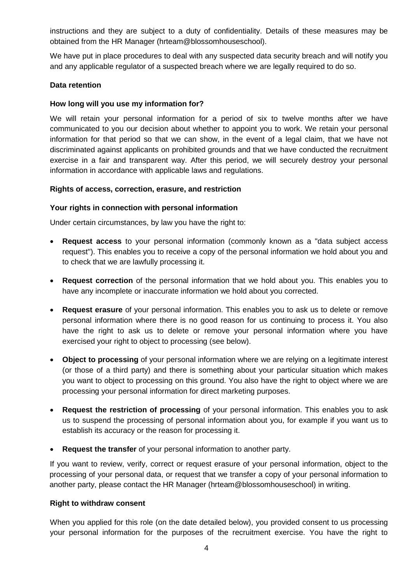instructions and they are subject to a duty of confidentiality. Details of these measures may be obtained from the HR Manager (hrteam@blossomhouseschool).

We have put in place procedures to deal with any suspected data security breach and will notify you and any applicable regulator of a suspected breach where we are legally required to do so.

## **Data retention**

# **How long will you use my information for?**

We will retain your personal information for a period of six to twelve months after we have communicated to you our decision about whether to appoint you to work. We retain your personal information for that period so that we can show, in the event of a legal claim, that we have not discriminated against applicants on prohibited grounds and that we have conducted the recruitment exercise in a fair and transparent way. After this period, we will securely destroy your personal information in accordance with applicable laws and regulations.

#### **Rights of access, correction, erasure, and restriction**

# **Your rights in connection with personal information**

Under certain circumstances, by law you have the right to:

- **Request access** to your personal information (commonly known as a "data subject access request"). This enables you to receive a copy of the personal information we hold about you and to check that we are lawfully processing it.
- **Request correction** of the personal information that we hold about you. This enables you to have any incomplete or inaccurate information we hold about you corrected.
- **Request erasure** of your personal information. This enables you to ask us to delete or remove personal information where there is no good reason for us continuing to process it. You also have the right to ask us to delete or remove your personal information where you have exercised your right to object to processing (see below).
- **Object to processing** of your personal information where we are relying on a legitimate interest (or those of a third party) and there is something about your particular situation which makes you want to object to processing on this ground. You also have the right to object where we are processing your personal information for direct marketing purposes.
- **Request the restriction of processing** of your personal information. This enables you to ask us to suspend the processing of personal information about you, for example if you want us to establish its accuracy or the reason for processing it.
- **Request the transfer** of your personal information to another party.

If you want to review, verify, correct or request erasure of your personal information, object to the processing of your personal data, or request that we transfer a copy of your personal information to another party, please contact the HR Manager (hrteam@blossomhouseschool) in writing.

#### **Right to withdraw consent**

When you applied for this role (on the date detailed below), you provided consent to us processing your personal information for the purposes of the recruitment exercise. You have the right to